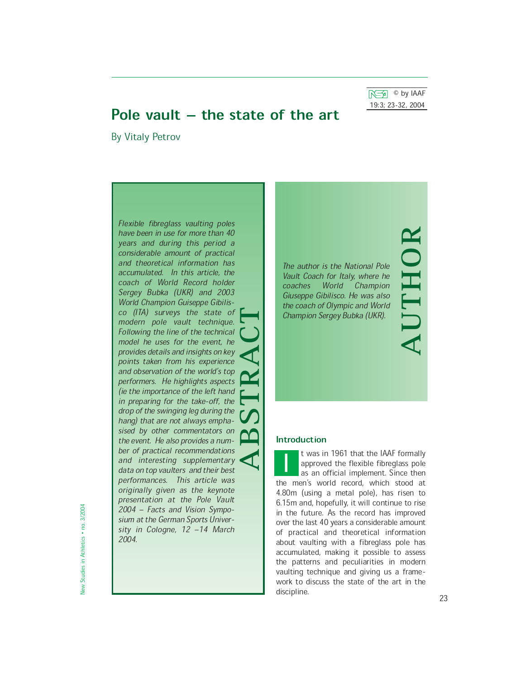$\overline{N}$   $\otimes$  by IAAF 19:3;!23-32,!2004

AUTHOR

# Pole vault  $-$  the state of the art

By Vitaly Petrov

Flexible fibreglass vaulting poles have been in use for more than 40 years and during this period a considerable amount of practical and theoretical information has accumulated. In this article, the coach of World Record holder Sergey Bubka (UKR) and 2003 World Champion Guiseppe Gibilisco (ITA) surveys the state of modern pole vault technique. Following the line of the technical model he uses for the event, he provides details and insights on key points taken from his experience and observation of the world's top performers. He highlights aspects (ie the importance of the left hand in preparing for the take-off, the drop of the swinging leg during the hang) that are not always emphasised by other commentators on the event. He also provides a number of practical recommendations and interesting supplementary data on top vaulters and their best performances. This article was originally given as the keynote presentation at the Pole Vault 2004 - Facts and Vision Symposium at the German Sports University in Cologne,  $12 - 14$  March 2004.  $\sum_{\substack{a \text{ odd} \\ \text{odd} \\ \text{odd} \\ \text{odd} \\ \text{odd} \\ \text{odd} \\ \text{odd} \\ \text{odd} \\ \text{odd} \\ \text{odd} \\ \text{odd} \\ \text{odd} \\ \text{odd} \\ \text{odd} \\ \text{odd} \\ \text{odd} \\ \text{odd} \\ \text{odd} \\ \text{odd} \\ \text{odd} \\ \text{odd} \\ \text{odd} \\ \text{odd} \\ \text{odd} \\ \text{odd} \\ \text{odd} \\ \text{odd} \\ \text{odd} \\ \text{odd} \\ \text{odd} \\ \text{odd} \\ \text{odd} \\ \text{odd} \\ \text{odd} \\ \text{odd} \\ \text$ 

The author is the National Pole Vault Coach for Italy, where he coaches World Champion Giuseppe Gibilisco. He was also the coach of Olympic and World Champion Sergey Bubka (UKR).

# Introduction

t was in 1961 that the IAAF formally approved the flexible fibreglass pole as an official implement. Since then the men's world record, which stood at<br>4.80m (using a motal polo) bas rison to 4.80m (using a metal pole), has risen to 6.15m and, hopefully, it will continue to rise in the future. As the record has improved over the last 40 years a considerable amount of practical and theoretical information about vaulting with a fibreglass pole has accumulated, making it possible to assess the patterns and peculiarities in modern vaulting technique and giving us a framework to discuss the state of the art in the discipline. 23  $\frac{1}{\rho}$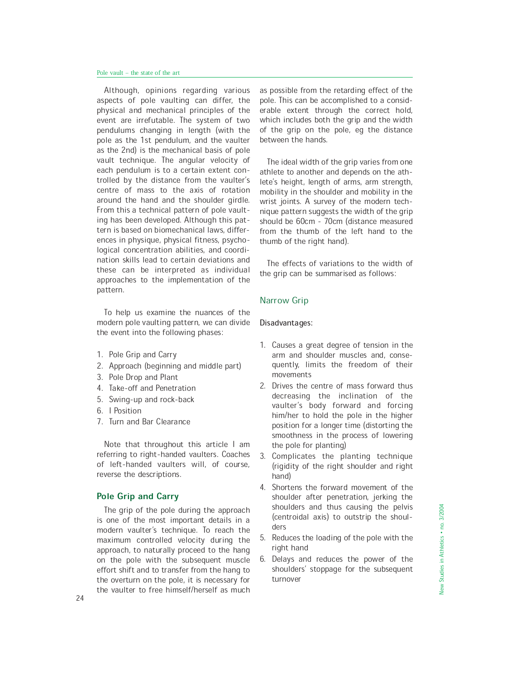Although, opinions regarding various aspects of pole vaulting can differ, the physical and mechanical principles of the event are irrefutable. The system of two pendulums changing in length (with the pole as the 1st pendulum, and the vaulter as the 2nd) is the mechanical basis of pole vault technique. The angular velocity of each pendulum is to a certain extent controlled by the distance from the vaulter's centre of mass to the axis of rotation around the hand and the shoulder girdle. From this a technical pattern of pole vaulting has been developed. Although this pattern is based on biomechanical laws, differences in physique, physical fitness, psychological concentration abilities, and coordination skills lead to certain deviations and these can be interpreted as individual approaches to the implementation of the pattern.

To help us examine the nuances of the modern pole vaulting pattern, we can divide the event into the following phases:

- 1. Pole Grip and Carry
- 2. Approach (beginning and middle part)
- 3. Pole Drop and Plant
- 4. Take-off and Penetration
- 5. Swing-up and rock-back
- 6. I Position
- 7. Turn and Bar Clearance

Note that throughout this article I am referring to right-handed vaulters. Coaches of left-handed vaulters will, of course, reverse the descriptions.

# Pole Grip and Carry

The grip of the pole during the approach is one of the most important details in a modern vaulter's technique. To reach the maximum controlled velocity during the approach, to naturally proceed to the hang on the pole with the subsequent muscle effort shift and to transfer from the hang to the overturn on the pole, it is necessary for the vaulter to free himself/herself as much

as possible from the retarding effect of the pole. This can be accomplished to a considerable extent through the correct hold, which includes both the grip and the width of the grip on the pole, eg the distance between the hands.

The ideal width of the grip varies from one athlete to another and depends on the athlete's height, length of arms, arm strength, mobility in the shoulder and mobility in the wrist joints. A survey of the modern technique pattern suggests the width of the grip should be 60cm - 70cm (distance measured from the thumb of the left hand to the thumb of the right hand).

The effects of variations to the width of the grip can be summarised as follows:

## Narrow Grip

#### Disadvantages:

- 1. Causes a great degree of tension in the arm and shoulder muscles and, consequently, limits the freedom of their movements
- 2. Drives the centre of mass forward thus decreasing the inclination of the vaulter's body forward and forcing him/her to hold the pole in the higher position for a longer time (distorting the smoothness in the process of lowering the pole for planting)
- 3. Complicates the planting technique (rigidity of the right shoulder and right hand)
- 4. Shortens the forward movement of the shoulder after penetration, jerking the shoulders and thus causing the pelvis (centroidal axis) to outstrip the shoulders
- 5. Reduces the loading of the pole with the right hand
- 6. Delays and reduces the power of the shoulders' stoppage for the subsequent turnover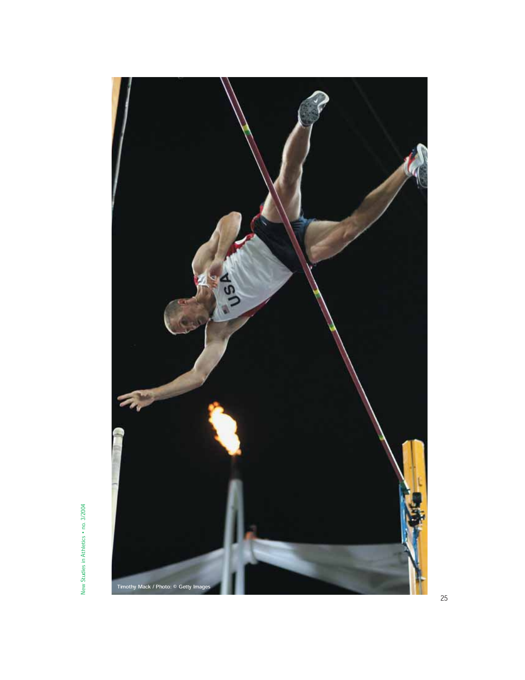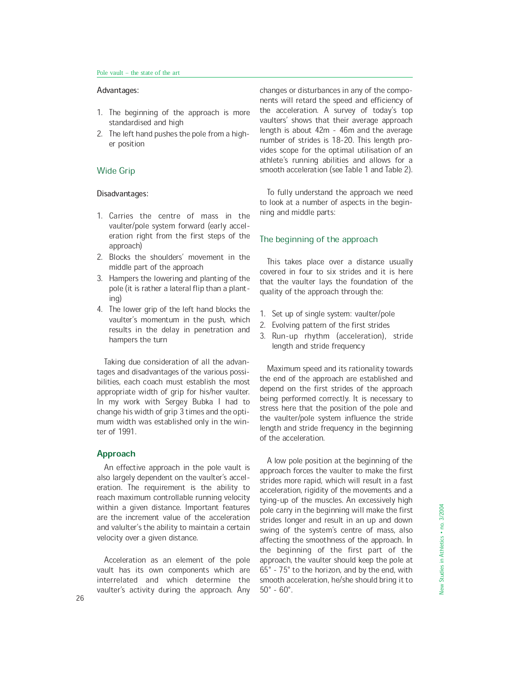# Advantages:

- 1. The beginning of the approach is more standardised and high
- 2. The left hand pushes the pole from a higher position

## Wide Grip

#### Disadvantages:

- 1. Carries the centre of mass in the vaulter/pole system forward (early acceleration right from the first steps of the approach)
- 2. Blocks the shoulders' movement in the middle part of the approach
- 3. Hampers the lowering and planting of the pole (it is rather a lateral flip than a planting)
- 4. The lower grip of the left hand blocks the vaulter's momentum in the push, which results in the delay in penetration and hampers the turn

Taking due consideration of all the advantages and disadvantages of the various possibilities, each coach must establish the most appropriate width of grip for his/her vaulter. In my work with Sergey Bubka I had to change his width of grip 3 times and the optimum width was established only in the winter of 1991.

#### Approach

An effective approach in the pole vault is also largely dependent on the vaulter's acceleration. The requirement is the ability to reach maximum controllable running velocity within a given distance. Important features are the increment value of the acceleration and valulter's the ability to maintain a certain velocity over a given distance.

Acceleration as an element of the pole vault has its own components which are interrelated and which determine the vaulter's activity during the approach. Any changes or disturbances in any of the components will retard the speed and efficiency of the acceleration. A survey of today's top vaulters' shows that their average approach length is about 42m - 46m and the average number of strides is 18-20. This length provides scope for the optimal utilisation of an athlete's running abilities and allows for a smooth acceleration (see Table 1 and Table 2).

To fully understand the approach we need to look at a number of aspects in the beginning and middle parts:

#### The beginning of the approach

This takes place over a distance usually covered in four to six strides and it is here that the vaulter lays the foundation of the quality of the approach through the:

- 1. Set up of single system: vaulter/pole
- 2. Evolving pattern of the first strides
- 3. Run-up rhythm (acceleration), stride length and stride frequency

Maximum speed and its rationality towards the end of the approach are established and depend on the first strides of the approach being performed correctly. It is necessary to stress here that the position of the pole and the vaulter/pole system influence the stride length and stride frequency in the beginning of the acceleration.

A low pole position at the beginning of the approach forces the vaulter to make the first strides more rapid, which will result in a fast acceleration, rigidity of the movements and a tying-up of the muscles. An excessively high pole carry in the beginning will make the first strides longer and result in an up and down swing of the system's centre of mass, also affecting the smoothness of the approach. In the beginning of the first part of the approach, the vaulter should keep the pole at  $65^\circ$  -  $75^\circ$  to the horizon, and by the end, with smooth acceleration, he/she should bring it to  $50^\circ$  -  $60^\circ$ .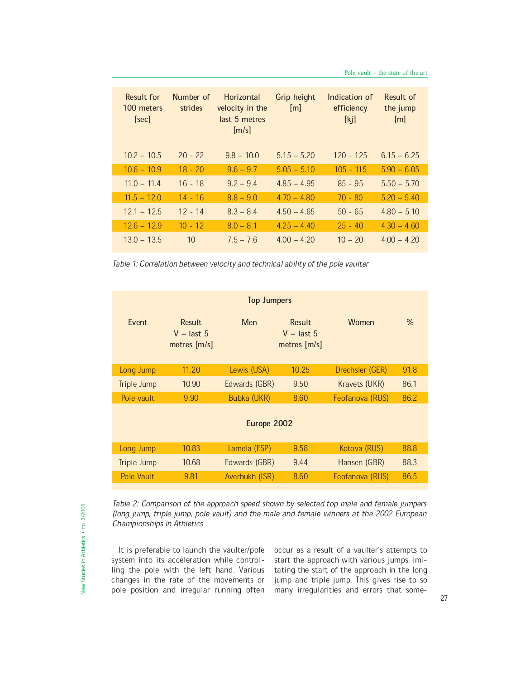| Result for<br>100 meters<br>[sec] | Number of<br>strides | Horizontal<br>velocity in the<br>last 5 metres<br>[m/s] | Grip height<br>[m] | Indication of<br>efficiency<br>[k] | Result of<br>the jump<br>[m] |
|-----------------------------------|----------------------|---------------------------------------------------------|--------------------|------------------------------------|------------------------------|
| $10.2 - 10.5$                     | $20 - 22$            | $9.8 - 10.0$                                            | $5.15 - 5.20$      | $120 - 125$                        | $6.15 - 6.25$                |
| $10.6 - 10.9$                     | $18 - 20$            | $9.6 - 9.7$                                             | $5.05 - 5.10$      | $105 - 115$                        | $5.90 - 6.05$                |
| $11.0 - 11.4$                     | $16 - 18$            | $9.2 - 9.4$                                             | $4.85 - 4.95$      | $85 - 95$                          | $5.50 - 5.70$                |
| $11.5 - 12.0$                     | $14 - 16$            | $8.8 - 9.0$                                             | $4.70 - 4.80$      | $70 - 80$                          | $5.20 - 5.40$                |
| $12.1 - 12.5$                     | $12 - 14$            | $8.3 - 8.4$                                             | $4.50 - 4.65$      | $50 - 65$                          | $4.80 - 5.10$                |
| $12.6 - 12.9$                     | $10 - 12$            | $8.0 - 8.1$                                             | $4.25 - 4.40$      | $25 - 40$                          | $4.30 - 4.60$                |
| $13.0 - 13.5$                     | 10                   | $7.5 - 7.6$                                             | $4.00 - 4.20$      | $10 - 20$                          | $4.00 - 4.20$                |

Table 1: Correlation between velocity and technical ability of the pole vaulter

| <b>Top Jumpers</b> |                                               |                |                                               |                 |      |  |  |
|--------------------|-----------------------------------------------|----------------|-----------------------------------------------|-----------------|------|--|--|
| Fvent              | <b>Result</b><br>$V -$ last 5<br>metres [m/s] | Men            | <b>Result</b><br>$V -$ last 5<br>metres [m/s] | Women           | $\%$ |  |  |
| Long Jump          | 11.20                                         | Lewis (USA)    | 10.25                                         | Drechsler (GER) | 91.8 |  |  |
| Triple Jump        | 10.90                                         | Edwards (GBR)  | 9.50                                          | Kravets (UKR)   | 86.1 |  |  |
| Pole vault         | 9.90                                          | Bubka (UKR)    | 8.60                                          | Feofanova (RUS) | 86.2 |  |  |
| Europe 2002        |                                               |                |                                               |                 |      |  |  |
| Long Jump          | 10.83                                         | Lamela (ESP)   | 9.58                                          | Kotova (RUS)    | 88.8 |  |  |
| Triple Jump        | 10.68                                         | Edwards (GBR)  | 9.44                                          | Hansen (GBR)    | 88.3 |  |  |
| Pole Vault         | 9.81                                          | Averbukh (ISR) | 8.60                                          | Feofanova (RUS) | 86.5 |  |  |

Table 2: Comparison of the approach speed shown by selected top male and female jumpers (long jump, triple jump, pole vault) and the male and female winners at the 2002 European Championships in Athletics

It is preferable to launch the vaulter/pole system into its acceleration while controlling the pole with the left hand. Various changes in the rate of the movements or

pole position and irregular running often many irregularities and errors that someoccur as a result of a vaulter's attempts to start the approach with various jumps, imitating the start of the approach in the long jump and triple jump. This gives rise to so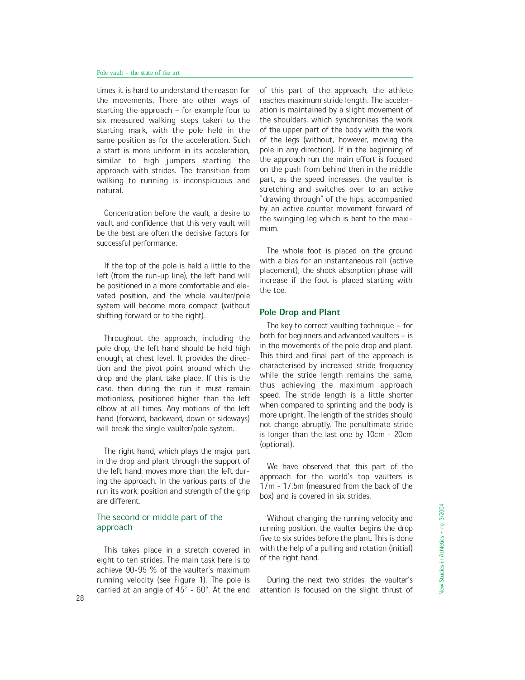times it is hard to understand the reason for the movements. There are other ways of starting the approach  $-$  for example four to six measured walking steps taken to the starting mark, with the pole held in the same position as for the acceleration. Such a start is more uniform in its acceleration, similar to high jumpers starting the approach with strides. The transition from walking to running is inconspicuous and natural.

Concentration before the vault, a desire to vault and confidence that this very vault will be the best are often the decisive factors for successful performance.

If the top of the pole is held a little to the left (from the run-up line), the left hand will be positioned in a more comfortable and elevated position, and the whole vaulter/pole system will become more compact (without shifting forward or to the right).

Throughout the approach, including the pole drop, the left hand should be held high enough, at chest level. It provides the direction and the pivot point around which the drop and the plant take place. If this is the case, then during the run it must remain motionless, positioned higher than the left elbow at all times. Any motions of the left hand (forward, backward, down or sideways) will break the single vaulter/pole system.

The right hand, which plays the major part in the drop and plant through the support of the left hand, moves more than the left during the approach. In the various parts of the run its work, position and strength of the grip are different.

# The second or middle part of the approach

This takes place in a stretch covered in eight to ten strides. The main task here is to achieve 90-95 % of the vaulter's maximum running velocity (see Figure 1). The pole is carried at an angle of 45° - 60°. At the end attention is focused on the slight thrust of 28

of this part of the approach, the athlete reaches maximum stride length. The acceleration is maintained by a slight movement of the shoulders, which synchronises the work of the upper part of the body with the work of the legs (without, however, moving the pole in any direction). If in the beginning of the approach run the main effort is focused on the push from behind then in the middle part, as the speed increases, the vaulter is stretching and switches over to an active "drawing through" of the hips, accompanied by an active counter movement forward of the swinging leg which is bent to the maximum.

The whole foot is placed on the ground with a bias for an instantaneous roll (active placement); the shock absorption phase will increase if the foot is placed starting with the toe.

### Pole Drop and Plant

The key to correct vaulting technique  $-$  for both for beginners and advanced vaulters  $-$  is in the movements of the pole drop and plant. This third and final part of the approach is characterised by increased stride frequency while the stride length remains the same, thus achieving the maximum approach speed. The stride length is a little shorter when compared to sprinting and the body is more upright. The length of the strides should not change abruptly. The penultimate stride is longer than the last one by 10cm - 20cm (optional).

We have observed that this part of the approach for the world's top vaulters is 17m - 17.5m (measured from the back of the box) and is covered in six strides.

Without changing the running velocity and running position, the vaulter begins the drop five to six strides before the plant. This is done with the help of a pulling and rotation (initial) of the right hand.

During the next two strides, the vaulter's attention is focused on the slight thrust of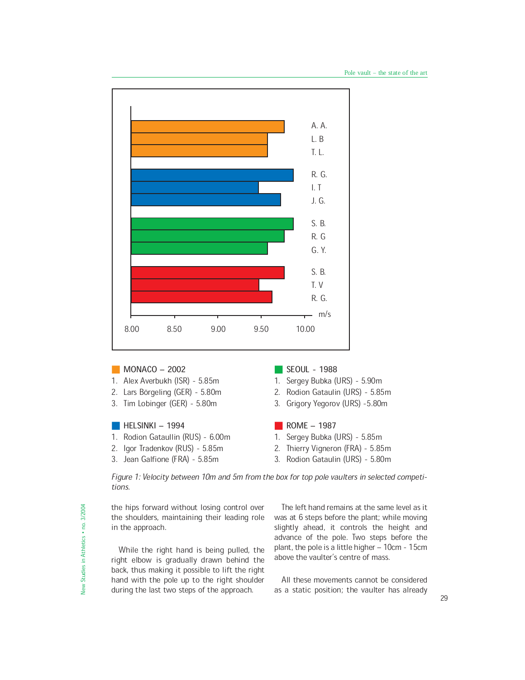

# $\blacksquare$  MONACO  $-$  2002

- 1. Alex Averbukh (ISR) 5.85m
- 2. Lars Börgeling (GER) 5.80m
- 3. Tim Lobinger (GER) 5.80m

# $\blacksquare$  HELSINKI – 1994

- 1. Rodion Gataullin (RUS) 6.00m
- 2. Igor Tradenkov (RUS) 5.85m
- 3. Jean Galfione (FRA) 5.85m
- SEOUL 1988
- 1. Sergey Bubka (URS) 5.90m
- 2. Rodion Gataulin (URS) 5.85m
- 3. Grigory Yegorov (URS) -5.80m

## $\blacksquare$  ROME  $-$  1987

- 1. Sergey Bubka (URS) 5.85m
- 2. Thierry Vigneron (FRA) 5.85m
- 3. Rodion Gataulin (URS) 5.80m

Figure 1: Velocity between 10m and 5m from the box for top pole vaulters in selected competitions.

the hips forward without losing control over the shoulders, maintaining their leading role in the approach.

While the right hand is being pulled, the right elbow is gradually drawn behind the back, thus making it possible to lift the right hand with the pole up to the right shoulder during the last two steps of the approach.

The left hand remains at the same level as it was at 6 steps before the plant; while moving slightly ahead, it controls the height and advance of the pole. Two steps before the plant, the pole is a little higher - 10cm - 15cm above the vaulter's centre of mass.

All these movements cannot be considered as a static position; the vaulter has already <sup>29</sup>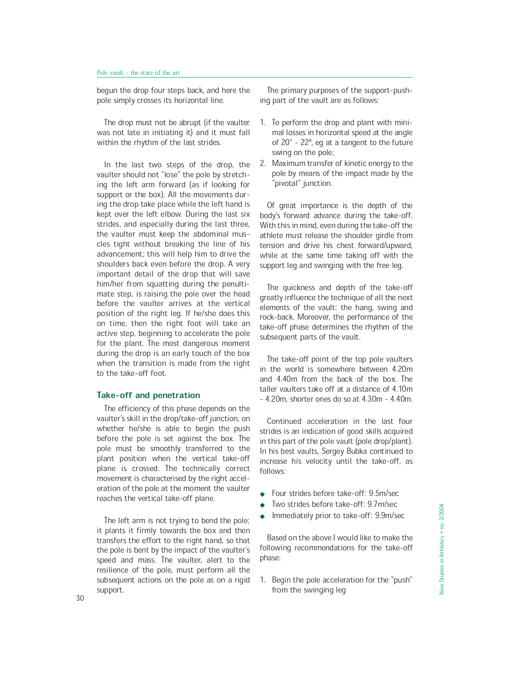begun the drop four steps back, and here the pole simply crosses its horizontal line.

The drop must not be abrupt (if the vaulter was not late in initiating it) and it must fall within the rhythm of the last strides.

In the last two steps of the drop, the vaulter should not "lose" the pole by stretching the left arm forward (as if looking for support or the box). All the movements during the drop take place while the left hand is kept over the left elbow. During the last six strides, and especially during the last three, the vaulter must keep the abdominal muscles tight without breaking the line of his advancement; this will help him to drive the shoulders back even before the drop. A very important detail of the drop that will save him/her from squatting during the penultimate step, is raising the pole over the head before the vaulter arrives at the vertical position of the right leg. If he/she does this on time, then the right foot will take an active step, beginning to accelerate the pole for the plant. The most dangerous moment during the drop is an early touch of the box when the transition is made from the right to the take-off foot.

### Take-off and penetration

The efficiency of this phase depends on the vaulter's skill in the drop/take-off junction, on whether he/she is able to begin the push before the pole is set against the box. The pole must be smoothly transferred to the plant position when the vertical take-off plane is crossed. The technically correct movement is characterised by the right acceleration of the pole at the moment the vaulter reaches the vertical take-off plane.

The left arm is not trying to bend the pole; it plants it firmly towards the box and then transfers the effort to the right hand, so that the pole is bent by the impact of the vaulter's speed and mass. The vaulter, alert to the resilience of the pole, must perform all the subsequent actions on the pole as on a rigid support. support. Support support support is a support of the swinging leg 30 support of  $\frac{30}{2}$ 

The primary purposes of the support-pushing part of the vault are as follows:

- 1. To perform the drop and plant with minimal losses in horizontal speed at the angle of  $20^\circ$  -  $22^\circ$ , eq at a tangent to the future swing on the pole;
- 2. Maximum transfer of kinetic energy to the pole by means of the impact made by the 'pivotal" junction.

Of great importance is the depth of the body's forward advance during the take-off. With this in mind, even during the take-off the athlete must release the shoulder girdle from tension and drive his chest forward/upward, while at the same time taking off with the support leg and swinging with the free leg.

The quickness and depth of the take-off greatly influence the technique of all the next elements of the vault: the hang, swing and rock-back. Moreover, the performance of the take-off phase determines the rhythm of the subsequent parts of the vault.

The take-off point of the top pole vaulters in the world is somewhere between 4.20m and 4.40m from the back of the box. The taller vaulters take off at a distance of 4.10m - 4.20m, shorter ones do so at 4.30m - 4.40m.

Continued acceleration in the last four strides is an indication of good skills acquired in this part of the pole vault (pole drop/plant). In his best vaults, Sergey Bubka continued to increase his velocity until the take-off, as follows:

- Four strides before take-off: 9.5m/sec
- Two strides before take-off: 9.7m/sec
- Immediately prior to take-off: 9.9m/sec

Based on the above I would like to make the following recommendations for the take-off phase:

1. Begin the pole acceleration for the "push"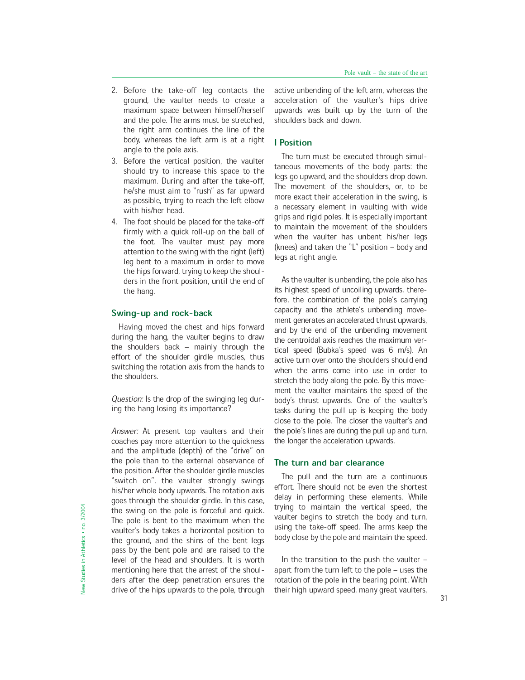- 2. Before the take-off leg contacts the ground, the vaulter needs to create a maximum space between himself/herself and the pole. The arms must be stretched, the right arm continues the line of the body, whereas the left arm is at a right angle to the pole axis.
- 3. Before the vertical position, the vaulter should try to increase this space to the maximum. During and after the take-off, he/she must aim to "rush" as far upward as possible, trying to reach the left elbow with his/her head.
- 4. The foot should be placed for the take-off firmly with a quick roll-up on the ball of the foot. The vaulter must pay more attention to the swing with the right (left) leg bent to a maximum in order to move the hips forward, trying to keep the shoulders in the front position, until the end of the hang.

#### Swing-up and rock-back

Having moved the chest and hips forward during the hang, the vaulter begins to draw the shoulders back  $-$  mainly through the effort of the shoulder girdle muscles, thus switching the rotation axis from the hands to the shoulders.

Question: Is the drop of the swinging leg during the hang losing its importance?

Answer: At present top vaulters and their coaches pay more attention to the quickness and the amplitude (depth) of the "drive" on the pole than to the external observance of the position. After the shoulder girdle muscles "switch on", the vaulter strongly swings his/her whole body upwards. The rotation axis goes through the shoulder girdle. In this case, the swing on the pole is forceful and quick. The pole is bent to the maximum when the vaulter's body takes a horizontal position to the ground, and the shins of the bent legs pass by the bent pole and are raised to the level of the head and shoulders. It is worth mentioning here that the arrest of the shoulders after the deep penetration ensures the drive of the hips upwards to the pole, through

active unbending of the left arm, whereas the acceleration of the vaulter's hips drive upwards was built up by the turn of the shoulders back and down.

## I Position

The turn must be executed through simultaneous movements of the body parts: the legs go upward, and the shoulders drop down. The movement of the shoulders, or, to be more exact their acceleration in the swing, is a necessary element in vaulting with wide grips and rigid poles. It is especially important to maintain the movement of the shoulders when the vaulter has unbent his/her legs (knees) and taken the "L" position  $-$  body and legs at right angle.

As the vaulter is unbending, the pole also has its highest speed of uncoiling upwards, therefore, the combination of the pole's carrying capacity and the athlete's unbending movement generates an accelerated thrust upwards, and by the end of the unbending movement the centroidal axis reaches the maximum vertical speed (Bubka's speed was 6 m/s). An active turn over onto the shoulders should end when the arms come into use in order to stretch the body along the pole. By this movement the vaulter maintains the speed of the body's thrust upwards. One of the vaulter's tasks during the pull up is keeping the body close to the pole. The closer the vaulter's and the pole's lines are during the pull up and turn, the longer the acceleration upwards.

# The turn and bar clearance

The pull and the turn are a continuous effort. There should not be even the shortest delay in performing these elements. While trying to maintain the vertical speed, the vaulter begins to stretch the body and turn, using the take-off speed. The arms keep the body close by the pole and maintain the speed.

In the transition to the push the vaulter  $$ apart from the turn left to the pole  $-$  uses the rotation of the pole in the bearing point. With their high upward speed, many great vaulters, 31